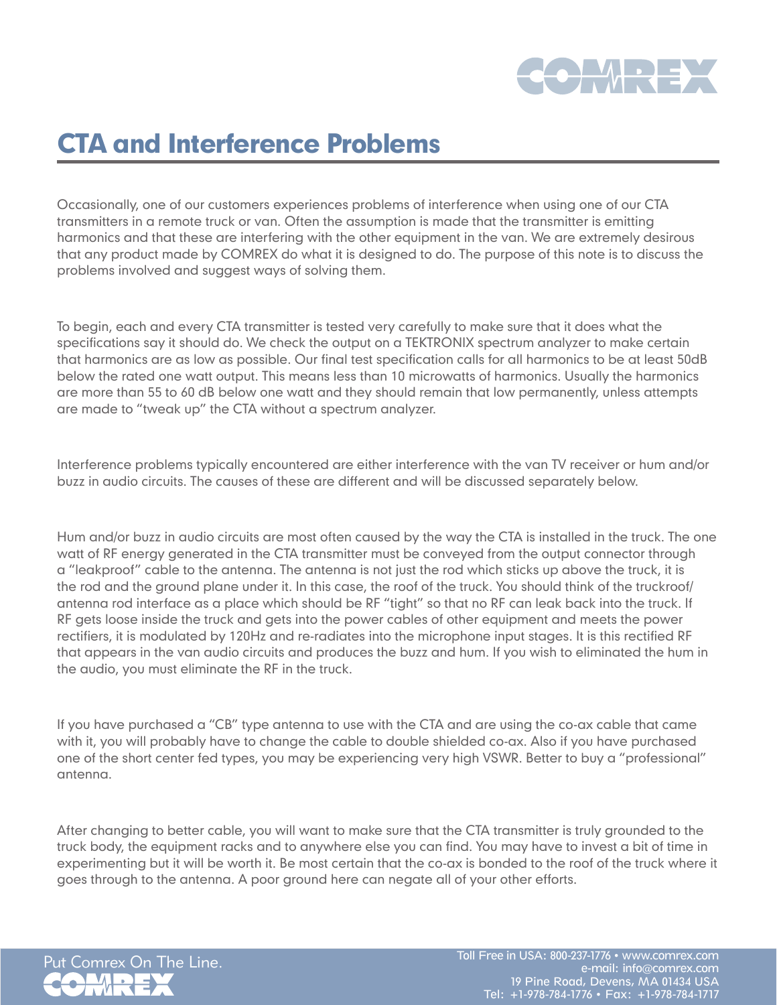

## CTA and Interference Problems

Occasionally, one of our customers experiences problems of interference when using one of our CTA transmitters in a remote truck or van. Often the assumption is made that the transmitter is emitting harmonics and that these are interfering with the other equipment in the van. We are extremely desirous that any product made by COMREX do what it is designed to do. The purpose of this note is to discuss the problems involved and suggest ways of solving them.

To begin, each and every CTA transmitter is tested very carefully to make sure that it does what the specifications say it should do. We check the output on a TEKTRONIX spectrum analyzer to make certain that harmonics are as low as possible. Our final test specification calls for all harmonics to be at least 50dB below the rated one watt output. This means less than 10 microwatts of harmonics. Usually the harmonics are more than 55 to 60 dB below one watt and they should remain that low permanently, unless attempts are made to "tweak up" the CTA without a spectrum analyzer.

Interference problems typically encountered are either interference with the van TV receiver or hum and/or buzz in audio circuits. The causes of these are different and will be discussed separately below.

Hum and/or buzz in audio circuits are most often caused by the way the CTA is installed in the truck. The one watt of RF energy generated in the CTA transmitter must be conveyed from the output connector through a "leakproof" cable to the antenna. The antenna is not just the rod which sticks up above the truck, it is the rod and the ground plane under it. In this case, the roof of the truck. You should think of the truckroof/ antenna rod interface as a place which should be RF "tight" so that no RF can leak back into the truck. If RF gets loose inside the truck and gets into the power cables of other equipment and meets the power rectifiers, it is modulated by 120Hz and re-radiates into the microphone input stages. It is this rectified RF that appears in the van audio circuits and produces the buzz and hum. If you wish to eliminated the hum in the audio, you must eliminate the RF in the truck.

If you have purchased a "CB" type antenna to use with the CTA and are using the co-ax cable that came with it, you will probably have to change the cable to double shielded co-ax. Also if you have purchased one of the short center fed types, you may be experiencing very high VSWR. Better to buy a "professional" antenna.

After changing to better cable, you will want to make sure that the CTA transmitter is truly grounded to the truck body, the equipment racks and to anywhere else you can find. You may have to invest a bit of time in experimenting but it will be worth it. Be most certain that the co-ax is bonded to the roof of the truck where it goes through to the antenna. A poor ground here can negate all of your other efforts.